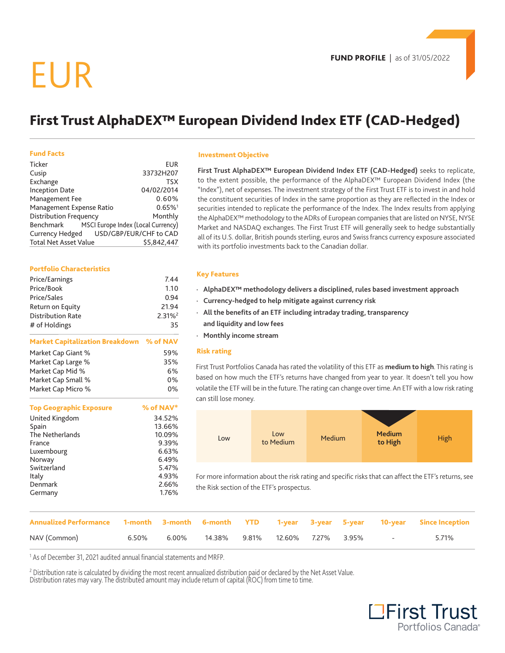## EUR

## **First Trust AlphaDEX™ European Dividend Index ETF (CAD-Hedged)**

#### **Fund Facts**

| Ticker                                          | EUR                   |
|-------------------------------------------------|-----------------------|
| Cusip                                           | 33732H207             |
| Exchange                                        | <b>TSX</b>            |
| <b>Inception Date</b>                           | 04/02/2014            |
| Management Fee                                  | 0.60%                 |
| Management Expense Ratio                        | $0.65\%$ <sup>1</sup> |
| <b>Distribution Frequency</b>                   | Monthly               |
| MSCI Europe Index (Local Currency)<br>Benchmark |                       |
| Currency Hedged USD/GBP/EUR/CHF to CAD          |                       |
| <b>Total Net Asset Value</b>                    | \$5.842.447           |

#### **Portfolio Characteristics**

| Price/Earnings                           | 7.44                  |
|------------------------------------------|-----------------------|
| Price/Book                               | 1.10                  |
| Price/Sales                              | 0.94                  |
| Return on Equity                         | 21.94                 |
| <b>Distribution Rate</b>                 | $2.31\%$ <sup>2</sup> |
| # of Holdings                            | 35                    |
| Market Capitalization Breakdown % of NAV |                       |
| Market Cap Giant %                       | 59%                   |
| Market Cap Large %                       | 35%                   |
| Market Cap Mid %                         | 6%                    |

Market Cap Small % 0% Market Cap Micro % 0%

| <b>Top Geographic Exposure</b> | % of NAV* |
|--------------------------------|-----------|
| United Kingdom                 | 34.52%    |
| Spain                          | 13.66%    |
| The Netherlands                | 10.09%    |
| France                         | 9.39%     |
| Luxembourg                     | 6.63%     |
| Norway                         | 6.49%     |
| Switzerland                    | 5.47%     |
| Italy                          | 4.93%     |
| Denmark                        | 2.66%     |
| Germany                        | 1.76%     |

#### **Investment Objective**

**First Trust AlphaDEX™ European Dividend Index ETF (CAD-Hedged)** seeks to replicate, to the extent possible, the performance of the AlphaDEX™ European Dividend Index (the "Index"), net of expenses. The investment strategy of the First Trust ETF is to invest in and hold the constituent securities of Index in the same proportion as they are reflected in the Index or securities intended to replicate the performance of the Index. The Index results from applying the AlphaDEX™ methodology to the ADRs of European companies that are listed on NYSE, NYSE Market and NASDAQ exchanges. The First Trust ETF will generally seek to hedge substantially all of its U.S. dollar, British pounds sterling, euros and Swiss francs currency exposure associated with its portfolio investments back to the Canadian dollar.

#### **Key Features**

- **· AlphaDEX™ methodology delivers a disciplined, rules based investment approach**
- **· Currency-hedged to help mitigate against currency risk**
- **· All the benefits of an ETF including intraday trading, transparency and liquidity and low fees**
- **· Monthly income stream**

#### **Risk rating**

First Trust Portfolios Canada has rated the volatility of this ETF as **medium to high**. This rating is based on how much the ETF's returns have changed from year to year. It doesn't tell you how volatile the ETF will be in the future. The rating can change over time. An ETF with a low risk rating can still lose money.



For more information about the risk rating and specific risks that can affect the ETF's returns, see the Risk section of the ETF's prospectus.

| Annualized Performance 1-month 3-month 6-month YTD 1-year 3-year 5-year 10-year Since Inception |  |                                                                  |  |  |                               |       |
|-------------------------------------------------------------------------------------------------|--|------------------------------------------------------------------|--|--|-------------------------------|-------|
| NAV (Common)                                                                                    |  | $6.50\%$ $6.00\%$ $14.38\%$ $9.81\%$ $12.60\%$ $7.27\%$ $3.95\%$ |  |  | the control of the control of | 5.71% |

<sup>1</sup> As of December 31, 2021 audited annual financial statements and MRFP.

2 Distribution rate is calculated by dividing the most recent annualized distribution paid or declared by the Net Asset Value. Distribution rates may vary. The distributed amount may include return of capital (ROC) from time to time.